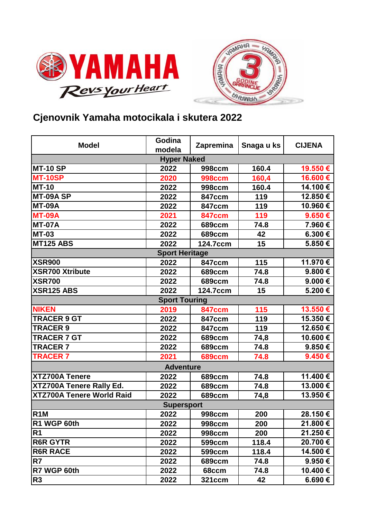



## **Cjenovnik Yamaha motocikala i skutera 2022**

| <b>Model</b>                     | Godina<br>modela | Zapremina     | Snaga u ks | <b>CIJENA</b>    |  |  |
|----------------------------------|------------------|---------------|------------|------------------|--|--|
| <b>Hyper Naked</b>               |                  |               |            |                  |  |  |
| <b>MT-10 SP</b>                  | 2022             | <b>998ccm</b> | 160.4      | 19.550€          |  |  |
| <b>MT-10SP</b>                   | 2020             | <b>998ccm</b> | 160,4      | 16.600€          |  |  |
| <b>MT-10</b>                     | 2022             | <b>998ccm</b> | 160.4      | 14.100€          |  |  |
| MT-09A SP                        | 2022             | <b>847ccm</b> | 119        | 12.850€          |  |  |
| <b>MT-09A</b>                    | 2022             | <b>847ccm</b> | 119        | 10.960€          |  |  |
| <b>MT-09A</b>                    | 2021             | <b>847ccm</b> | 119        | 9.650€           |  |  |
| <b>MT-07A</b>                    | 2022             | <b>689ccm</b> | 74.8       | 7.960€           |  |  |
| <b>MT-03</b>                     | 2022             | <b>689ccm</b> | 42         | 6.300€           |  |  |
| <b>MT125 ABS</b>                 | 2022             | 124.7ccm      | 15         | 5.850€           |  |  |
| <b>Sport Heritage</b>            |                  |               |            |                  |  |  |
| <b>XSR900</b>                    | 2022             | <b>847ccm</b> | 115        | 11.970€          |  |  |
| <b>XSR700 Xtribute</b>           | 2022             | <b>689ccm</b> | 74.8       | 9.800€           |  |  |
| <b>XSR700</b>                    | 2022             | <b>689ccm</b> | 74.8       | 9.000€           |  |  |
| <b>XSR125 ABS</b>                | 2022             | 124.7ccm      | 15         | 5.200€           |  |  |
| <b>Sport Touring</b>             |                  |               |            |                  |  |  |
| <b>NIKEN</b>                     | 2019             | <b>847ccm</b> | 115        | 13.550€          |  |  |
| <b>TRACER 9 GT</b>               | 2022             | <b>847ccm</b> | 119        | 15.350€          |  |  |
| <b>TRACER 9</b>                  | 2022             | <b>847ccm</b> | 119        | 12.650€          |  |  |
| <b>TRACER 7 GT</b>               | 2022             | <b>689ccm</b> | 74,8       | 10.600€          |  |  |
| <b>TRACER7</b>                   | 2022             | <b>689ccm</b> | 74.8       | 9.850€           |  |  |
| <b>TRACER 7</b>                  | 2021             | <b>689ccm</b> | 74.8       | 9.450€           |  |  |
| <b>Adventure</b>                 |                  |               |            |                  |  |  |
| <b>XTZ700A Tenere</b>            | 2022             | <b>689ccm</b> | 74.8       | 11.400 €         |  |  |
| XTZ700A Tenere Rally Ed.         | 2022             | <b>689ccm</b> | 74.8       | 13.000€          |  |  |
| <b>XTZ700A Tenere World Raid</b> | 2022             | <b>689ccm</b> | 74,8       | 13.950€          |  |  |
| <b>Supersport</b>                |                  |               |            |                  |  |  |
| R <sub>1</sub> M                 | 2022             | <b>998ccm</b> | 200        | 28.150€          |  |  |
| R1 WGP 60th                      | 2022             | <b>998ccm</b> | 200        | 21.800 €         |  |  |
| R <sub>1</sub>                   | 2022             | <b>998ccm</b> | 200        | 21.250€          |  |  |
| <b>R6R GYTR</b>                  | 2022             | 599ccm        | 118.4      | 20.700 €         |  |  |
| <b>R6R RACE</b>                  | 2022             | 599ccm        | 118.4      | 14.500 €         |  |  |
| R7                               | 2022             | 689ccm        | 74.8       | 9.950 $\epsilon$ |  |  |
| R7 WGP 60th                      | 2022             | 68ccm         | 74.8       | 10.400 €         |  |  |
| R <sub>3</sub>                   | 2022             | 321ccm        | 42         | 6.690 €          |  |  |